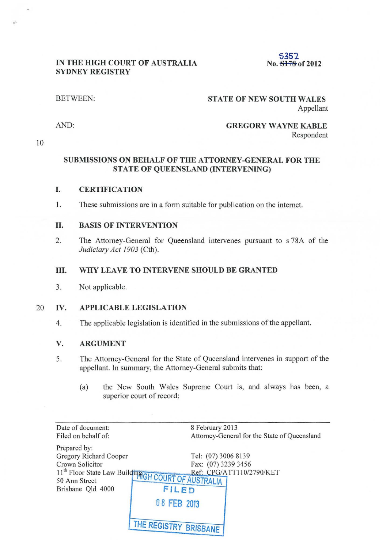# 5352<br>No. 5178 of 2012

# **IN THE HIGH COURT OF AUSTRALIA SYDNEY REGISTRY**

# BETWEEN: **STATE OF NEW SOUTH WALES**  Appellant

AND:

# **GREGORY WAYNE KABLE**  Respondent

10

# **SUBMISSIONS ON BEHALF OF THE ATTORNEY-GENERAL FOR THE STATE OF QUEENSLAND (INTERVENING)**

# **I. CERTIFICATION**

1. These submissions are in a form suitable for publication on the internet.

### **II. BASIS OF INTERVENTION**

2. The Attorney-General for Queensland intervenes pursuant to s 78A of the *Judiciary Act 1903* (Cth).

#### **III. WHY LEAVE TO INTERVENE SHOULD BE GRANTED**

3. Not applicable.

### 20 **IV. APPLICABLE LEGISLATION**

4. The applicable legislation is identified in the submissions of the appellant.

#### **V. ARGUMENT**

- 5. The Attorney-General for the State of Queensland intervenes in support of the appellant. In summary, the Attorney-General submits that:
	- (a) the New South Wales Supreme Court is, and always has been, a superior court of record;

| Date of document:                                                                                             | 8 February 2013       |                                              |
|---------------------------------------------------------------------------------------------------------------|-----------------------|----------------------------------------------|
| Filed on behalf of:                                                                                           |                       | Attorney-General for the State of Queensland |
| Prepared by:                                                                                                  |                       |                                              |
| Gregory Richard Cooper                                                                                        |                       | Tel: (07) 3006 8139                          |
| Crown Solicitor                                                                                               |                       | Fax: (07) 3239 3456                          |
| Lrown Soncial.<br>11 <sup>th</sup> Floor State Law Building GH COURT OF AUSTRALIA<br>Ref: CPG/ATT110/2790/KET |                       |                                              |
|                                                                                                               |                       |                                              |
| Brisbane Qld 4000                                                                                             | FILED                 |                                              |
|                                                                                                               | 08 FEB 2013           |                                              |
|                                                                                                               | THE REGISTRY BRISBANE |                                              |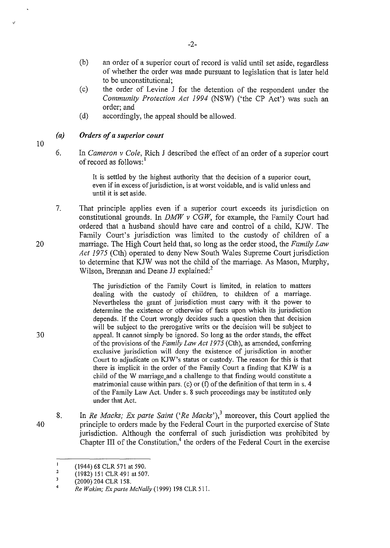- (b) an order of a superior court of record is valid until set aside, regardless of whether the order was made pursuant to legislation that is later held to be unconstitutional;
- (c) the order of Levine J for the detention of the respondent under the *Community Protection Act 1994* (NSW) ('the CP Act') was such an order; and
- (d) accordingly, the appeal should be allowed.

# *(a) Orders of a superior court*

6. In *Cameron v Cole,* Rich J described the effect of an order of a superior court of record as follows:<sup>1</sup>

> It is settled by the highest authority that the decision of a superior court, even if in excess of jurisdiction, is at worst voidable, and is valid unless and until it is set aside.

7. That principle applies even if a superior court exceeds its jurisdiction on constitutional grounds. In *DMW v CGW,* for example, the Family Court had ordered that a husband should have care and control of a child, KJW. The Family Court's jurisdiction was limited to the custody of children of a marriage. The High Court held that, so long as the order stood, the *Family Law Act 1975* (Cth) operated to deny New South Wales Supreme Court jurisdiction to determine that KJW was not the child of the marriage. As Mason, Murphy, Wilson, Brennan and Deane JJ explained:<sup>2</sup>

> The jurisdiction of the Family Court is limited, in relation to matters dealing with the custody of children, to children of a marriage. Nevertheless the grant of jurisdiction must carry with it the power to determine the existence or otherwise of facts upon which its jurisdiction depends. If the Court wrongly decides such a question then that decision will be subject to the prerogative writs or the decision will be subject to appeal. It cannot simply be ignored. So long as the order stands, the effect of the provisions of the *Family Law Act 1975* (Cth), as amended, conferring exclusive jurisdiction will deny the existence of jurisdiction in another Court to adjudicate on KJW's status or custody. The reason for this is that there is implicit in the order of the Family Court a finding that KJW is a child of the W marriage\_and a challenge to that finding would constitute a matrimonial cause within pars. (c) or  $(f)$  of the definition of that term in s. 4 of the Family Law Act. Under s. 8 such proceedings may be instituted only under that Act.

8. In *Re Macks; Ex parte Saint* ('*Re Macks*'),<sup>3</sup> moreover, this Court applied the principle to orders made by the Federal Court in the purported exercise of State jurisdiction. Although the conferral of such jurisdiction was prohibited by Chapter III of the Constitution, $4$  the orders of the Federal Court in the exercise

20

10

30

 $\mathbf{I}$ (1944) 68 CLR 571 at 590.

<sup>2</sup>  (1982) 151 CLR 491 at 507.

 $\,$  3 (2000) 204 CLR 158.

<sup>4</sup>  *Re Wakim; ExparteMcNally(l999)* 198 CLR511.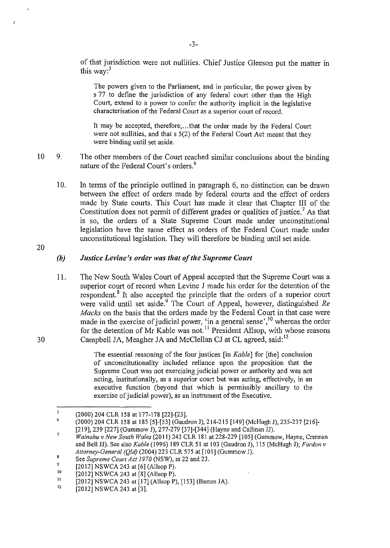of that jurisdiction were not nullities. Chief Justice Gleeson put the matter in this way: $5$ 

The powers given to the Parliament, and in particular, the power given by s 77 to define the jurisdiction of any federal court other than the High Court, extend to a power to confer the authority implicit in the legislative characterisation of the Federal Court as a superior court of record.

It may be accepted, therefore, ... that the order made by the Federal Court were not nullities, and that s 5(2) of the Federal Court Act meant that they were binding until set aside.

- 10 9. The other members of the Court reached similar conclusions about the binding nature of the Federal Court's orders.<sup>6</sup>
	- 10. In terms of the principle outlined in paragraph 6, no distinction can be drawn between the effect of orders made by federal courts and the effect of orders made by State courts. This Court has made it clear that Chapter III of the Constitution does not permit of different grades or qualities of justice.<sup>7</sup> As that is so, the orders of a State Supreme Court made under unconstitutional legislation have the same effect as orders of the Federal Court made under unconstitutional legislation. They will therefore be binding until set aside.

20

30

# *(b) Justice Levine's order was that of the Supreme Court*

11. The New South Wales Court of Appeal accepted that the Supreme Court was a superior court of record when Levine J made his order for the detention of the respondent.<sup>8</sup> It also accepted the principle that the orders of a superior court were valid until set aside.<sup>9</sup> The Court of Appeal, however, distinguished *Re Macks* on the basis that the orders made by the Federal Court in that case were made in the exercise of judicial power, 'in a general sense',<sup>10</sup> whereas the order for the detention of Mr Kable was not.<sup>11</sup> President Allsop, with whose reasons Campbell JA, Meagher JA and McClellan CJ at CL agreed, said:<sup>12</sup>

> The essential reasoning of the four justices [in *Kable]* for [the] conclusion of unconstitutionality included reliance upon the proposition that the Supreme Court was not exercising judicial power or authority and was not acting, institutionally, as a superior court but was acting, effectively, in an executive function (beyond that which is permissibly ancillary to the exercise of judicial power), as an instrument of the Executive.

<sup>,</sup>  6 (2000) 204 CLR 158 at 177-178 [22]-[23].

<sup>(2000) 204</sup> CLR 158 at 185 [5]-[53] (Gaudron J), 214-215 [149] (McHugh J), 235-237 [216]- [219], 239 [227] (Gummow J), 277-279 [37]-[344] (Hayne and Callinan JJ).

<sup>7</sup>  *Wainohu v New South Wales* (20 II) 243 CLR 181 at 228-229 [105] (Gummow, Hayne, Crennan and Bell JJ). See also *Kable* (1996) 189 CLR 51 at 103 (Gaudron J), 115 (McHugh J); *Fardon v Attorney-Genera/ (Qld)* (2004) 223 CLR 575 at [101] (Gummow J).

<sup>8</sup>  See *Supreme Court Act 1970* (NSW), ss 22 and 23.

<sup>9</sup>  [2012] NSWCA 243 at [6] (AllsopP).

<sup>10</sup>  [2012] NSWCA 243 at [8] (AllsopP).

II [2012] NSWCA 243 at [17] (AllsopP), [153] (Basten JA).

 $12$ [20 12] NSWCA 243 at [3].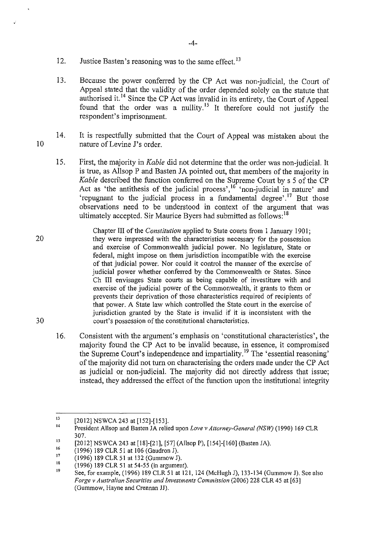- 12. Justice Basten's reasoning was to the same effect.<sup>13</sup>
- 13. Because the power conferred by the CP Act was non-judicial, the Court of Appeal stated that the validity of the order depended solely on the statute that authorised it. 14 Since the CP Act was invalid in its entirety, the Court of Appeal found that the order was a nullity.<sup>15</sup> It therefore could not justify the respondent's imprisonment.
- 10 14. It is respectfully submitted that the Court of Appeal was mistaken about the nature of Levine J's order.
	- 15. First, the majority in *Kable* did not determine that the order was non-judicial. It is true, as Allsop P and Basten JA pointed out, that members of the majority in *Kable* described the function conferred on the Supreme Court by s 5 of the CP Act as 'the antithesis of the judicial process', <sup>16</sup> 'non-judicial in nature' and 'repugnant to the judicial process in a fundamental degree'.<sup>17</sup> But those observations need to be understood in context of the argument that was ultimately accepted. Sir Maurice Byers had submitted as follows:<sup>18</sup>
- 20 Chapter III of the *Constitution* applied to State courts from I January 190 I; they were impressed with the characteristics necessary for the possession and exercise of Commonwealth judicial power. No legislature, State or federal, might impose on them jurisdiction incompatible with the exercise of that judicial power. Nor could it control the manner of the exercise of judicial power whether conferred by the Commonwealth or States. Since Ch III envisages State courts as being capable of investiture with and exercise of the judicial power of the Commonwealth, it grants to them or prevents their deprivation of those characteristics required of recipients of that power. A State law which controlled the State court in the exercise of jurisdiction granted by the State is invalid if it is inconsistent with the court's possession of the constitutional characteristics.
	- 16. Consistent with the argument's emphasis on 'constitutional characteristics', the majority found the CP Act to be invalid because, in essence, it compromised the Supreme Court's independence and impartiality. 19 The 'essential reasoning' of the majority did not tum on characterising the orders made under the CP Act as judicial or non-judicial. The majority did not directly address that issue; instead, they addressed the effect of the function upon the institutional integrity

<sup>13</sup>  [2012] NSWCA 243 at [152]-[153].

<sup>14</sup>  President Allsop and Basten JA relied upon *Love v Attorney-General (NSW)* (1990) 169 CLR 307.

<sup>15</sup>  [2012] NSWCA 243 at [18]-[21], [57] (Allsop P), [154]-[160] (Basten JA).

<sup>16</sup>  17 (1996) 189 CLR 51 at 106 (Gaudron J).

<sup>(1996) 189</sup> CLR 51 at 132 (Gummow J).

<sup>18</sup>  (1996) 189 CLR 51 at 54-55 (in argument).

<sup>19</sup>  See, for example, (1996) 189 CLR 51 at 121, 124 (McHugh J), 133-134 (Gummow J). See also *Forge v Australian Securities and Investments Commission* (2006) 228 CLR 45 at [63] (Gummow, Hayne and Crennan JJ).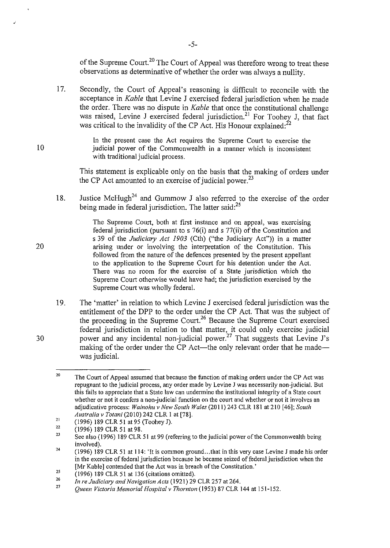of the Supreme Court.<sup>20</sup> The Court of Appeal was therefore wrong to treat these observations as determinative of whether the order was always a nullity.

17. Secondly, the Court of Appeal's reasoning is difficult to reconcile with the acceptance in *Kable* that Levine J exercised federal jurisdiction when he made the order. There was no dispute in *Kable* that once the constitutional challenge was raised, Levine J exercised federal jurisdiction.<sup>21</sup> For Toohey J, that fact was critical to the invalidity of the CP Act. His Honour explained: $^{22}$ 

> In the present case the Act requires the Supreme Court to exercise the judicial power of the Commonwealth in a manner which is inconsistent with traditional judicial process.

This statement is explicable only on the basis that the making of orders under the CP Act amounted to an exercise of judicial power.<sup>23</sup>

18. Justice McHugh<sup>24</sup> and Gummow J also referred to the exercise of the order being made in federal jurisdiction. The latter said: $^{25}$ 

> The Supreme Court, both at first instance and on appeal, was exercising federal jurisdiction (pursuant to s 76(i) and s 77(ii) of the Constitution and s 39 of the *Judiciary Act 1903* (Cth) ("the Judiciary Act")) in a matter arising under or involving the interpretation of the Constitution. This followed from the nature of the defences presented by the present appellant to the application to the Supreme Court for his detention under the Act. There was no room for the exercise of a State jurisdiction which the Supreme Court otherwise would have had; the jurisdiction exercised by the Supreme Court was wholly federal.

19. The 'matter' in relation to which Levine J exercised federal jurisdiction was the entitlement of the DPP to the order under the CP Act. That was the subject of the proceeding in the Supreme Court.<sup>26</sup> Because the Supreme Court exercised federal jurisdiction in relation to that matter, it could only exercise judicial power and any incidental non-judicial power.<sup>27</sup> That suggests that Levine J's making of the order under the CP Act—the only relevant order that he made was judicial.

20

30

<sup>20</sup>  The Court of Appeal assumed that because the function of making orders under the CP Act was repugnant to the judicial process, any order made by Levine J was necessarily non-judicial. But this fails to appreciate that a State law can undermine the institutional integrity of a State court whether or not it confers a non-judicial function on the court and whether or not it involves an adjudicative process: Wainohu v New South Wales (2011) 243 CLR 181 at 210 [46]; South *Australia v Totani* (2010) 242 CLR I at [78].

<sup>21</sup>  (1996) 189 CLR 51 at 95 (Toohey J).

<sup>22</sup>  (1996) 189 CLR 51 at 98.

<sup>23</sup>  See also (1996) 189 CLR 51 at 99 (referring to the judicial power ofthe Commonwealth being involved).

<sup>24</sup>  (1996) 189 CLR 51 at 114: 'It is common ground ... that in this very case Levine J made his order in the exercise of federal jurisdiction because he became seized of federal jurisdiction when the [Mr Kable] contended that the Act was in breach of the Constitution.'

<sup>25</sup>  (1996) 189 CLR 51 at 136 (citations omitted).

<sup>26</sup>  *In re Judicimy and Navigation Acts* (1921) 29 CLR 257 at 264.

<sup>27</sup>  *Queen Victoria Memorial Hospital v Thornton* (1953) 87 CLR 144 at 151-152.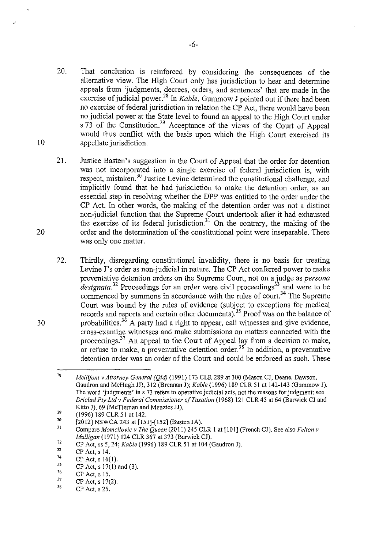- 20. That conclusion is reinforced by considering the consequences of the alternative view. The High Court only has jurisdiction to hear and determine appeals from 'judgments, decrees, orders, and sentences' that are made in the exercise of judicial power. 28 In *Kable,* Gummow J pointed out if there had been no exercise of federal jurisdiction in relation the CP Act, there would have been no judicial power at the State level to found an appeal to the High Court under s 73 of the Constitution.<sup>29</sup> Acceptance of the views of the Court of Appeal would thus conflict with the basis upon which the High Comt exercised its appellate jurisdiction.
- 21. Justice Basten's suggestion in the Court of Appeal that the order for detention was not incorporated into a single exercise of federal jurisdiction is, with respect, mistaken.<sup>30</sup> Justice Levine determined the constitutional challenge, and implicitly found that he had jurisdiction to make the detention order, as an essential step in resolving whether the DPP was entitled to the order under the CP Act. In other words, the making of the detention order was not a distinct non-judicial function that the Supreme Court undertook after it had exhausted the exercise of its federal jurisdiction.<sup>31</sup> On the contrary, the making of the order and the determination of the constitutional point were inseparable. There was only one matter.
- 22. Thirdly, disregarding constitutional invalidity, there is no basis for treating Levine J's order as non-judicial in nature. The CP Act conferred power to make preventative detention orders on the Supreme Court, not on a judge as *persona*  $designata.<sup>32</sup>$  Proceedings for an order were civil proceedings<sup>33</sup> and were to be commenced by summons in accordance with the rules of court.<sup>34</sup> The Supreme Court was bound by the rules of evidence (subject to exceptions for medical records and reports and certain other documents).<sup>35</sup> Proof was on the balance of probabilities.<sup>36</sup> A party had a right to appear, call witnesses and give evidence, cross-examine witnesses and make submissions on matters connected with the proceedings.<sup>37</sup> An appeal to the Court of Appeal lay from a decision to make, or refuse to make, a preventative detention order.<sup>38</sup> In addition, a preventative detention order was an order of the Court and could be enforced as such. These

37 CP Act, s 17(2).

10

<sup>28</sup>  *Mellifont v Attorney-Genera/ (Q/d)* (1991) 173 CLR 289 at 300 (Mason CJ, Deane, Dawson, Gaudron and McHugh JJ), 312 (Brennan J); *Kable* (1996) 189 CLR 51 at 142-143 (Gummow J). The word 'judgments' in s 73 refers to operative judicial acts, not the reasons for judgment: see *Driclad Pty Ltd v Federal Commissioner ofTaxation* (1968) 121 CLR 45 at 64 (Barwick CJ and Kitto J), 69 (McTiernan and Menzies JJ).

<sup>29</sup>  (1996) 189 CLR 51 at 142.

<sup>30</sup>  [2012] NSWCA 243 at [151]-[152] (Basten JA).

<sup>31</sup>  Compare *Momcilovic v The Queen* (2011) 245 CLR 1 at [101] (French CJ). See also *Felton v Mulligan* (1971) 124 CLR 367 at 373 (Barwick CJ).

<sup>32</sup>  CP Act, ss 5, 24; *Kable* (1996) 189 CLR 51 at 104 (Gaudron J).

<sup>33</sup>  CP Act, s 14.

<sup>34</sup>  CP Act, s 16(1).

<sup>35</sup>  CP Act, s 17(1) and (3).

<sup>36</sup>  CP Act, s 15.

<sup>38</sup>  CP Act, s 25.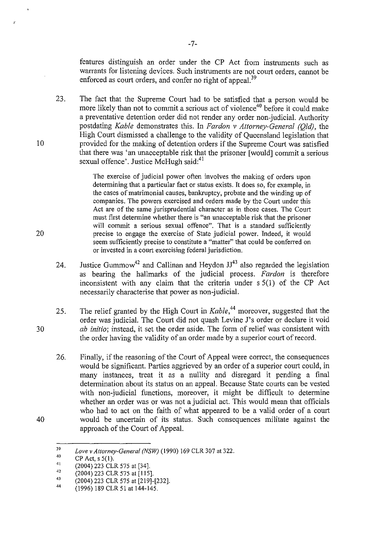features distinguish an order under the CP Act from instruments such as warrants for listening devices. Such instruments are not court orders, cannot be enforced as court orders, and confer no right of appeal.<sup>39</sup>

23. The fact that the Supreme Court had to be satisfied that a person would be more likely than not to commit a serious act of violence<sup>40</sup> before it could make a preventative detention order did not render any order non-judicial. Authority postdating *Kable* demonstrates this. In *Fardon v Attorney-General (Qld),* the High Court dismissed a challenge to the validity of Queensland legislation that provided for the making of detention orders if the Supreme Court was satisfied that there was 'an unacceptable risk that the prisoner [would] commit a serious sexual offence'. Justice McHugh said:<sup>41</sup>

> The exercise of judicial power often involves the making of orders upon determining that a particular fact or status exists. It does so, for example, in the cases of matrimonial causes, bankruptcy, probate and the winding up of companies. The powers exercised and orders made by the Court under this Act are of the same jurisprudential character as in those cases. The Court must first determine whether there is "an unacceptable risk that the prisoner will commit a serious sexual offence". That is a standard sufficiently precise to engage the exercise of State judicial power. Indeed, it would seem sufficiently precise to constitute a "matter" that could be conferred on or invested in a court exercising federal jurisdiction.

- 24. Justice Gummow<sup>42</sup> and Callinan and Heydon  $JJ<sup>43</sup>$  also regarded the legislation as bearing the hallmarks of the judicial process. *Fardon* is therefore inconsistent with any claim that the criteria under s 5(1) of the CP Act necessarily characterise that power as non-judicial.
- 25. The relief granted by the High Court in *Kable*<sup>44</sup> moreover, suggested that the order was judicial. The Court did not quash Levine J's order or declare it void *ab initio;* instead, it set the order aside. The form of relief was consistent with the order having the validity of an order made by a superior comt of record.
	- 26. Finally, if the reasoning of the Court of Appeal were correct, the consequences would be significant. Parties aggrieved by an order of a superior court could, in many instances, treat it as a nullity and disregard it pending a final determination about its status on an appeal. Because State courts can be vested with non-judicial functions, moreover, it might be difficult to determine whether an order was or was not a judicial act. This would mean that officials who had to act on the faith of what appeared to be a valid order of a court would be uncertain of its status. Such consequences militate against the approach of the Court of Appeal.

10

20

30

<sup>39</sup>  *Love v Attorney-General (NSW)* (1990) 169 CLR 307 at 322.

<sup>40</sup>  CP Act, s 5(1).

<sup>4\</sup>  (2004) 223 CLR 575 at [34].

<sup>42</sup>  (2004) 223 CLR 575 at [115].

<sup>43</sup>  (2004) 223 CLR 575 at [219]-[232].

<sup>44</sup>  (1996) 189 CLR 51 at 144-145.